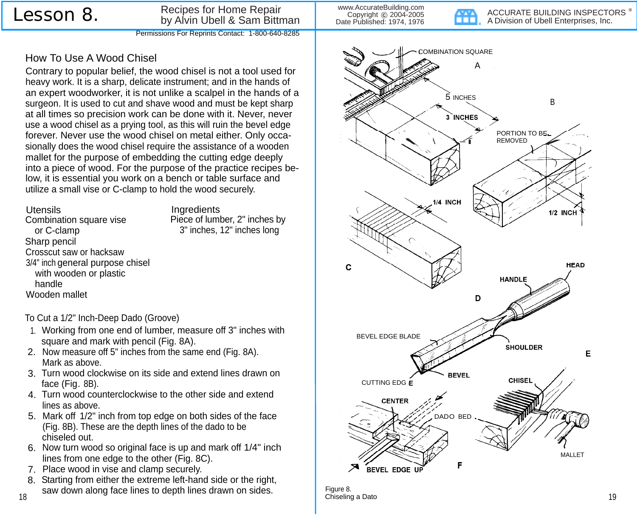How To Use A Wood Chisel

## Lesson 8. Recipes for Home Repair by Alvin Ubell & Sam Bittman Permissions For Reprints Contact: 1-800-640-8285

www.AccurateBuilding.com Copyright © 2004-2005 Date Published: 1974, 1976

ACCURATE BUILDING INSPECTORS<sup>®</sup> A Division of Ubell Enterprises, Inc.



Figure 8. Chiseling a Dato 19

utilize a small vise or C-clamp to hold the wood securely.

Utensils Ungredients<br>Combination square vise Piece of lumber, 2" inches by Combination square vise or C-clamp 3" inches, 12" inches long Sharp pencil Crosscut saw or hacksaw 3/4" inch general purpose chisel with wooden or plastic handle Wooden mallet

## To Cut a 1/2" Inch-Deep Dado (Groove)

1. Working from one end of lumber, measure off 3" inches with square and mark with pencil (Fig. 8A).

Contrary to popular belief, the wood chisel is not a tool used for

heavy work. It is a sharp, delicate instrument; and in the hands of an expert woodworker, it is not unlike a scalpel in the hands of a surgeon. It is used to cut and shave wood and must be kept sharp at all times so precision work can be done with it. Never, never use a wood chisel as a prying tool, as this will ruin the bevel edge forever. Never use the wood chisel on metal either. Only occasionally does the wood chisel require the assistance of a wooden mallet for the purpose of embedding the cutting edge deeply into a piece of wood. For the purpose of the practice recipes below, it is essential you work on a bench or table surface and

- 2. Now measure off 5" inches from the same end (Fig. 8A). Mark as above.
- 3. Turn wood clockwise on its side and extend lines drawn on face (Fig. 8B).
- 4. Turn wood counterclockwise to the other side and extend lines as above.
- 5. Mark off 1/2" inch from top edge on both sides of the face (Fig. 8B). These are the depth lines of the dado to be chiseled out.
- 6. Now turn wood so original face is up and mark off 1/4" inch lines from one edge to the other (Fig. 8C).
- 7. Place wood in vise and clamp securely.
- 8. Starting from either the extreme left-hand side or the right, saw down along face lines to depth lines drawn on sides.

18